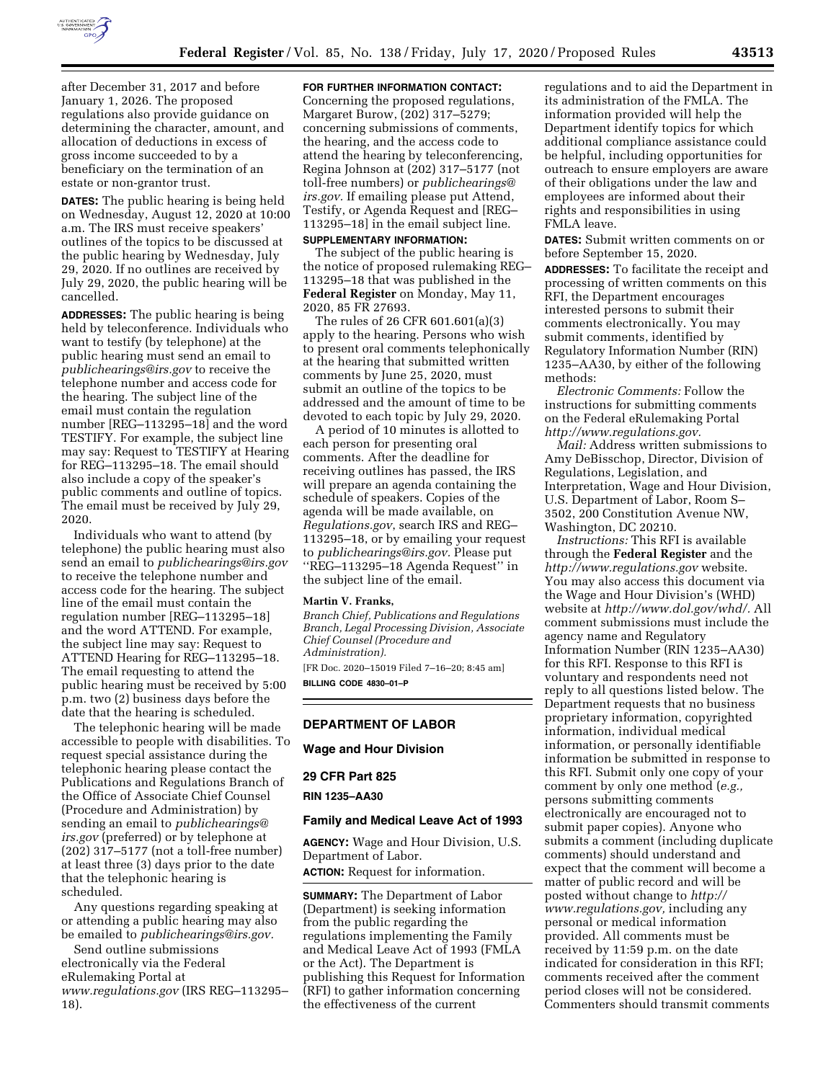

after December 31, 2017 and before January 1, 2026. The proposed regulations also provide guidance on determining the character, amount, and allocation of deductions in excess of gross income succeeded to by a beneficiary on the termination of an estate or non-grantor trust.

**DATES:** The public hearing is being held on Wednesday, August 12, 2020 at 10:00 a.m. The IRS must receive speakers' outlines of the topics to be discussed at the public hearing by Wednesday, July 29, 2020. If no outlines are received by July 29, 2020, the public hearing will be cancelled.

**ADDRESSES:** The public hearing is being held by teleconference. Individuals who want to testify (by telephone) at the public hearing must send an email to *[publichearings@irs.gov](mailto:publichearings@irs.gov)* to receive the telephone number and access code for the hearing. The subject line of the email must contain the regulation number [REG–113295–18] and the word TESTIFY. For example, the subject line may say: Request to TESTIFY at Hearing for REG–113295–18. The email should also include a copy of the speaker's public comments and outline of topics. The email must be received by July 29, 2020.

Individuals who want to attend (by telephone) the public hearing must also send an email to *[publichearings@irs.gov](mailto:publichearings@irs.gov)*  to receive the telephone number and access code for the hearing. The subject line of the email must contain the regulation number [REG–113295–18] and the word ATTEND. For example, the subject line may say: Request to ATTEND Hearing for REG–113295–18. The email requesting to attend the public hearing must be received by 5:00 p.m. two (2) business days before the date that the hearing is scheduled.

The telephonic hearing will be made accessible to people with disabilities. To request special assistance during the telephonic hearing please contact the Publications and Regulations Branch of the Office of Associate Chief Counsel (Procedure and Administration) by sending an email to *[publichearings@](mailto:publichearings@irs.gov) [irs.gov](mailto:publichearings@irs.gov)* (preferred) or by telephone at (202) 317–5177 (not a toll-free number) at least three (3) days prior to the date that the telephonic hearing is scheduled.

Any questions regarding speaking at or attending a public hearing may also be emailed to *[publichearings@irs.gov.](mailto:publichearings@irs.gov)* 

Send outline submissions electronically via the Federal eRulemaking Portal at *[www.regulations.gov](http://www.regulations.gov)* (IRS REG–113295– 18).

## **FOR FURTHER INFORMATION CONTACT:**

Concerning the proposed regulations, Margaret Burow, (202) 317–5279; concerning submissions of comments, the hearing, and the access code to attend the hearing by teleconferencing, Regina Johnson at (202) 317–5177 (not toll-free numbers) or *[publichearings@](mailto:publichearings@irs.gov) [irs.gov.](mailto:publichearings@irs.gov)* If emailing please put Attend, Testify, or Agenda Request and [REG– 113295–18] in the email subject line.

## **SUPPLEMENTARY INFORMATION:**

The subject of the public hearing is the notice of proposed rulemaking REG– 113295–18 that was published in the **Federal Register** on Monday, May 11, 2020, 85 FR 27693.

The rules of 26 CFR 601.601(a)(3) apply to the hearing. Persons who wish to present oral comments telephonically at the hearing that submitted written comments by June 25, 2020, must submit an outline of the topics to be addressed and the amount of time to be devoted to each topic by July 29, 2020.

A period of 10 minutes is allotted to each person for presenting oral comments. After the deadline for receiving outlines has passed, the IRS will prepare an agenda containing the schedule of speakers. Copies of the agenda will be made available, on *Regulations.gov*, search IRS and REG– 113295–18, or by emailing your request to *[publichearings@irs.gov.](mailto:publichearings@irs.gov)* Please put ''REG–113295–18 Agenda Request'' in the subject line of the email.

#### **Martin V. Franks,**

*Branch Chief, Publications and Regulations Branch, Legal Processing Division, Associate Chief Counsel (Procedure and Administration).* 

[FR Doc. 2020–15019 Filed 7–16–20; 8:45 am] **BILLING CODE 4830–01–P** 

### **DEPARTMENT OF LABOR**

**Wage and Hour Division** 

#### **29 CFR Part 825**

**RIN 1235–AA30** 

#### **Family and Medical Leave Act of 1993**

**AGENCY:** Wage and Hour Division, U.S. Department of Labor.

**ACTION:** Request for information.

**SUMMARY:** The Department of Labor (Department) is seeking information from the public regarding the regulations implementing the Family and Medical Leave Act of 1993 (FMLA or the Act). The Department is publishing this Request for Information (RFI) to gather information concerning the effectiveness of the current

regulations and to aid the Department in its administration of the FMLA. The information provided will help the Department identify topics for which additional compliance assistance could be helpful, including opportunities for outreach to ensure employers are aware of their obligations under the law and employees are informed about their rights and responsibilities in using FMLA leave.

**DATES:** Submit written comments on or before September 15, 2020.

**ADDRESSES:** To facilitate the receipt and processing of written comments on this RFI, the Department encourages interested persons to submit their comments electronically. You may submit comments, identified by Regulatory Information Number (RIN) 1235–AA30, by either of the following methods:

*Electronic Comments:* Follow the instructions for submitting comments on the Federal eRulemaking Portal *[http://www.regulations.gov.](http://www.regulations.gov)* 

*Mail:* Address written submissions to Amy DeBisschop, Director, Division of Regulations, Legislation, and Interpretation, Wage and Hour Division, U.S. Department of Labor, Room S– 3502, 200 Constitution Avenue NW, Washington, DC 20210.

*Instructions:* This RFI is available through the **Federal Register** and the *<http://www.regulations.gov>* website. You may also access this document via the Wage and Hour Division's (WHD) website at *[http://www.dol.gov/whd/.](http://www.dol.gov/whd/)* All comment submissions must include the agency name and Regulatory Information Number (RIN 1235–AA30) for this RFI. Response to this RFI is voluntary and respondents need not reply to all questions listed below. The Department requests that no business proprietary information, copyrighted information, individual medical information, or personally identifiable information be submitted in response to this RFI. Submit only one copy of your comment by only one method (*e.g.,*  persons submitting comments electronically are encouraged not to submit paper copies). Anyone who submits a comment (including duplicate comments) should understand and expect that the comment will become a matter of public record and will be posted without change to *[http://](http://www.regulations.gov) [www.regulations.gov,](http://www.regulations.gov)* including any personal or medical information provided. All comments must be received by 11:59 p.m. on the date indicated for consideration in this RFI; comments received after the comment period closes will not be considered. Commenters should transmit comments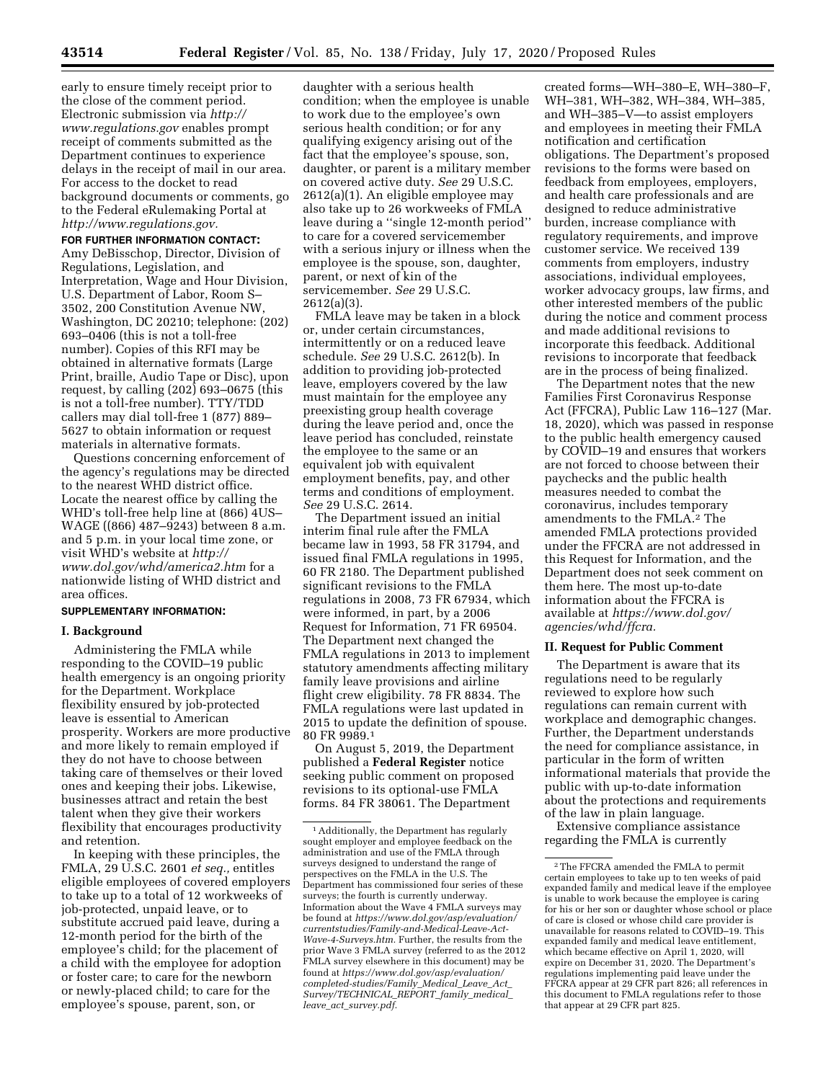early to ensure timely receipt prior to the close of the comment period. Electronic submission via *[http://](http://www.regulations.gov) [www.regulations.gov](http://www.regulations.gov)* enables prompt receipt of comments submitted as the Department continues to experience delays in the receipt of mail in our area. For access to the docket to read background documents or comments, go to the Federal eRulemaking Portal at *[http://www.regulations.gov.](http://www.regulations.gov)* 

#### **FOR FURTHER INFORMATION CONTACT:**

Amy DeBisschop, Director, Division of Regulations, Legislation, and Interpretation, Wage and Hour Division, U.S. Department of Labor, Room S– 3502, 200 Constitution Avenue NW, Washington, DC 20210; telephone: (202) 693–0406 (this is not a toll-free number). Copies of this RFI may be obtained in alternative formats (Large Print, braille, Audio Tape or Disc), upon request, by calling (202) 693–0675 (this is not a toll-free number). TTY/TDD callers may dial toll-free 1 (877) 889– 5627 to obtain information or request materials in alternative formats.

Questions concerning enforcement of the agency's regulations may be directed to the nearest WHD district office. Locate the nearest office by calling the WHD's toll-free help line at (866) 4US– WAGE ((866) 487–9243) between 8 a.m. and 5 p.m. in your local time zone, or visit WHD's website at *[http://](http://www.dol.gov/whd/america2.htm) [www.dol.gov/whd/america2.htm](http://www.dol.gov/whd/america2.htm)* for a nationwide listing of WHD district and area offices.

### **SUPPLEMENTARY INFORMATION:**

### **I. Background**

Administering the FMLA while responding to the COVID–19 public health emergency is an ongoing priority for the Department. Workplace flexibility ensured by job-protected leave is essential to American prosperity. Workers are more productive and more likely to remain employed if they do not have to choose between taking care of themselves or their loved ones and keeping their jobs. Likewise, businesses attract and retain the best talent when they give their workers flexibility that encourages productivity and retention.

In keeping with these principles, the FMLA, 29 U.S.C. 2601 *et seq.,* entitles eligible employees of covered employers to take up to a total of 12 workweeks of job-protected, unpaid leave, or to substitute accrued paid leave, during a 12-month period for the birth of the employee's child; for the placement of a child with the employee for adoption or foster care; to care for the newborn or newly-placed child; to care for the employee's spouse, parent, son, or

daughter with a serious health condition; when the employee is unable to work due to the employee's own serious health condition; or for any qualifying exigency arising out of the fact that the employee's spouse, son, daughter, or parent is a military member on covered active duty. *See* 29 U.S.C. 2612(a)(1). An eligible employee may also take up to 26 workweeks of FMLA leave during a ''single 12-month period'' to care for a covered servicemember with a serious injury or illness when the employee is the spouse, son, daughter, parent, or next of kin of the servicemember. *See* 29 U.S.C. 2612(a)(3).

FMLA leave may be taken in a block or, under certain circumstances, intermittently or on a reduced leave schedule. *See* 29 U.S.C. 2612(b). In addition to providing job-protected leave, employers covered by the law must maintain for the employee any preexisting group health coverage during the leave period and, once the leave period has concluded, reinstate the employee to the same or an equivalent job with equivalent employment benefits, pay, and other terms and conditions of employment. *See* 29 U.S.C. 2614.

The Department issued an initial interim final rule after the FMLA became law in 1993, 58 FR 31794, and issued final FMLA regulations in 1995, 60 FR 2180. The Department published significant revisions to the FMLA regulations in 2008, 73 FR 67934, which were informed, in part, by a 2006 Request for Information, 71 FR 69504. The Department next changed the FMLA regulations in 2013 to implement statutory amendments affecting military family leave provisions and airline flight crew eligibility. 78 FR 8834. The FMLA regulations were last updated in 2015 to update the definition of spouse. 80 FR 9989.1

On August 5, 2019, the Department published a **Federal Register** notice seeking public comment on proposed revisions to its optional-use FMLA forms. 84 FR 38061. The Department

created forms—WH–380–E, WH–380–F, WH–381, WH–382, WH–384, WH–385, and WH–385–V—to assist employers and employees in meeting their FMLA notification and certification obligations. The Department's proposed revisions to the forms were based on feedback from employees, employers, and health care professionals and are designed to reduce administrative burden, increase compliance with regulatory requirements, and improve customer service. We received 139 comments from employers, industry associations, individual employees, worker advocacy groups, law firms, and other interested members of the public during the notice and comment process and made additional revisions to incorporate this feedback. Additional revisions to incorporate that feedback are in the process of being finalized.

The Department notes that the new Families First Coronavirus Response Act (FFCRA), Public Law 116–127 (Mar. 18, 2020), which was passed in response to the public health emergency caused by COVID–19 and ensures that workers are not forced to choose between their paychecks and the public health measures needed to combat the coronavirus, includes temporary amendments to the FMLA.2 The amended FMLA protections provided under the FFCRA are not addressed in this Request for Information, and the Department does not seek comment on them here. The most up-to-date information about the FFCRA is available at *[https://www.dol.gov/](https://www.dol.gov/agencies/whd/ffcra) [agencies/whd/ffcra.](https://www.dol.gov/agencies/whd/ffcra)* 

## **II. Request for Public Comment**

The Department is aware that its regulations need to be regularly reviewed to explore how such regulations can remain current with workplace and demographic changes. Further, the Department understands the need for compliance assistance, in particular in the form of written informational materials that provide the public with up-to-date information about the protections and requirements of the law in plain language.

Extensive compliance assistance regarding the FMLA is currently

<sup>1</sup>Additionally, the Department has regularly sought employer and employee feedback on the administration and use of the FMLA through surveys designed to understand the range of perspectives on the FMLA in the U.S. The Department has commissioned four series of these surveys; the fourth is currently underway. Information about the Wave 4 FMLA surveys may be found at *[https://www.dol.gov/asp/evaluation/](https://www.dol.gov/asp/evaluation/currentstudies/Family-and-Medical-Leave-Act-Wave-4-Surveys.htm)  [currentstudies/Family-and-Medical-Leave-Act-](https://www.dol.gov/asp/evaluation/currentstudies/Family-and-Medical-Leave-Act-Wave-4-Surveys.htm)[Wave-4-Surveys.htm.](https://www.dol.gov/asp/evaluation/currentstudies/Family-and-Medical-Leave-Act-Wave-4-Surveys.htm)* Further, the results from the prior Wave 3 FMLA survey (referred to as the 2012 FMLA survey elsewhere in this document) may be found at *[https://www.dol.gov/asp/evaluation/](https://www.dol.gov/asp/evaluation/completed-studies/Family_Medical_Leave_Act_Survey/TECHNICAL_REPORT_family_medical_leave_act_survey.pdf) [completed-studies/Family](https://www.dol.gov/asp/evaluation/completed-studies/Family_Medical_Leave_Act_Survey/TECHNICAL_REPORT_family_medical_leave_act_survey.pdf)*\_*Medical*\_*Leave*\_*Act*\_ *[Survey/TECHNICAL](https://www.dol.gov/asp/evaluation/completed-studies/Family_Medical_Leave_Act_Survey/TECHNICAL_REPORT_family_medical_leave_act_survey.pdf)*\_*REPORT*\_*family*\_*medical*\_ *leave*\_*act*\_*[survey.pdf.](https://www.dol.gov/asp/evaluation/completed-studies/Family_Medical_Leave_Act_Survey/TECHNICAL_REPORT_family_medical_leave_act_survey.pdf)* 

<sup>2</sup>The FFCRA amended the FMLA to permit certain employees to take up to ten weeks of paid expanded family and medical leave if the employee is unable to work because the employee is caring for his or her son or daughter whose school or place of care is closed or whose child care provider is unavailable for reasons related to COVID–19. This expanded family and medical leave entitlement, which became effective on April 1, 2020, will expire on December 31, 2020. The Department's regulations implementing paid leave under the FFCRA appear at 29 CFR part 826; all references in this document to FMLA regulations refer to those that appear at 29 CFR part 825.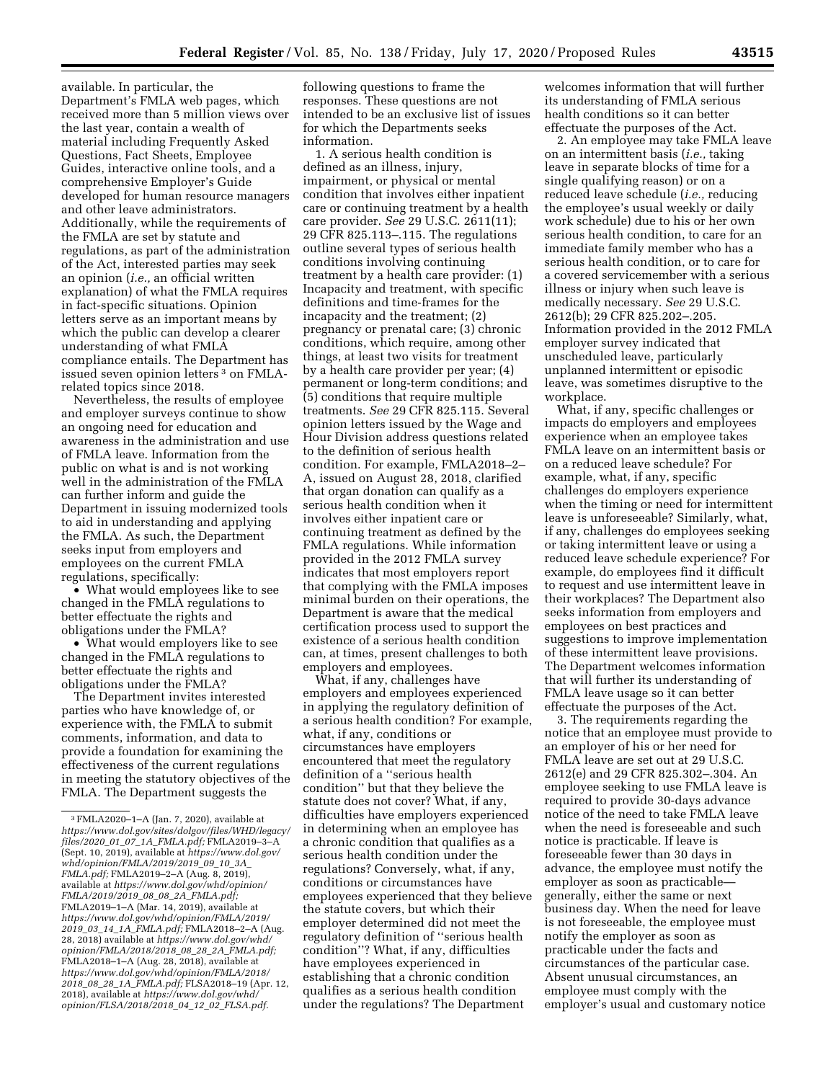available. In particular, the Department's FMLA web pages, which received more than 5 million views over the last year, contain a wealth of material including Frequently Asked Questions, Fact Sheets, Employee Guides, interactive online tools, and a comprehensive Employer's Guide developed for human resource managers and other leave administrators. Additionally, while the requirements of the FMLA are set by statute and regulations, as part of the administration of the Act, interested parties may seek an opinion (*i.e.,* an official written explanation) of what the FMLA requires in fact-specific situations. Opinion letters serve as an important means by which the public can develop a clearer understanding of what FMLA compliance entails. The Department has issued seven opinion letters 3 on FMLArelated topics since 2018.

Nevertheless, the results of employee and employer surveys continue to show an ongoing need for education and awareness in the administration and use of FMLA leave. Information from the public on what is and is not working well in the administration of the FMLA can further inform and guide the Department in issuing modernized tools to aid in understanding and applying the FMLA. As such, the Department seeks input from employers and employees on the current FMLA regulations, specifically:

• What would employees like to see changed in the FMLA regulations to better effectuate the rights and obligations under the FMLA?

• What would employers like to see changed in the FMLA regulations to better effectuate the rights and obligations under the FMLA?

The Department invites interested parties who have knowledge of, or experience with, the FMLA to submit comments, information, and data to provide a foundation for examining the effectiveness of the current regulations in meeting the statutory objectives of the FMLA. The Department suggests the

following questions to frame the responses. These questions are not intended to be an exclusive list of issues for which the Departments seeks information.

1. A serious health condition is defined as an illness, injury, impairment, or physical or mental condition that involves either inpatient care or continuing treatment by a health care provider. *See* 29 U.S.C. 2611(11); 29 CFR 825.113–.115. The regulations outline several types of serious health conditions involving continuing treatment by a health care provider: (1) Incapacity and treatment, with specific definitions and time-frames for the incapacity and the treatment; (2) pregnancy or prenatal care; (3) chronic conditions, which require, among other things, at least two visits for treatment by a health care provider per year; (4) permanent or long-term conditions; and (5) conditions that require multiple treatments. *See* 29 CFR 825.115. Several opinion letters issued by the Wage and Hour Division address questions related to the definition of serious health condition. For example, FMLA2018–2– A, issued on August 28, 2018, clarified that organ donation can qualify as a serious health condition when it involves either inpatient care or continuing treatment as defined by the FMLA regulations. While information provided in the 2012 FMLA survey indicates that most employers report that complying with the FMLA imposes minimal burden on their operations, the Department is aware that the medical certification process used to support the existence of a serious health condition can, at times, present challenges to both employers and employees.

What, if any, challenges have employers and employees experienced in applying the regulatory definition of a serious health condition? For example, what, if any, conditions or circumstances have employers encountered that meet the regulatory definition of a ''serious health condition'' but that they believe the statute does not cover? What, if any, difficulties have employers experienced in determining when an employee has a chronic condition that qualifies as a serious health condition under the regulations? Conversely, what, if any, conditions or circumstances have employees experienced that they believe the statute covers, but which their employer determined did not meet the regulatory definition of ''serious health condition''? What, if any, difficulties have employees experienced in establishing that a chronic condition qualifies as a serious health condition under the regulations? The Department

welcomes information that will further its understanding of FMLA serious health conditions so it can better effectuate the purposes of the Act.

2. An employee may take FMLA leave on an intermittent basis (*i.e.,* taking leave in separate blocks of time for a single qualifying reason) or on a reduced leave schedule (*i.e.,* reducing the employee's usual weekly or daily work schedule) due to his or her own serious health condition, to care for an immediate family member who has a serious health condition, or to care for a covered servicemember with a serious illness or injury when such leave is medically necessary. *See* 29 U.S.C. 2612(b); 29 CFR 825.202–.205. Information provided in the 2012 FMLA employer survey indicated that unscheduled leave, particularly unplanned intermittent or episodic leave, was sometimes disruptive to the workplace.

What, if any, specific challenges or impacts do employers and employees experience when an employee takes FMLA leave on an intermittent basis or on a reduced leave schedule? For example, what, if any, specific challenges do employers experience when the timing or need for intermittent leave is unforeseeable? Similarly, what, if any, challenges do employees seeking or taking intermittent leave or using a reduced leave schedule experience? For example, do employees find it difficult to request and use intermittent leave in their workplaces? The Department also seeks information from employers and employees on best practices and suggestions to improve implementation of these intermittent leave provisions. The Department welcomes information that will further its understanding of FMLA leave usage so it can better effectuate the purposes of the Act.

3. The requirements regarding the notice that an employee must provide to an employer of his or her need for FMLA leave are set out at 29 U.S.C. 2612(e) and 29 CFR 825.302–.304. An employee seeking to use FMLA leave is required to provide 30-days advance notice of the need to take FMLA leave when the need is foreseeable and such notice is practicable. If leave is foreseeable fewer than 30 days in advance, the employee must notify the employer as soon as practicable generally, either the same or next business day. When the need for leave is not foreseeable, the employee must notify the employer as soon as practicable under the facts and circumstances of the particular case. Absent unusual circumstances, an employee must comply with the employer's usual and customary notice

 $^3\rm\,FMLA2020–1–A$  (Jan. 7, 2020), available at *[https://www.dol.gov/sites/dolgov/files/WHD/legacy/](https://www.dol.gov/sites/dolgov/files/WHD/legacy/files/2020_01_07_1A_FMLA.pdf)  files/2020*\_*01*\_*07*\_*1A*\_*[FMLA.pdf;](https://www.dol.gov/sites/dolgov/files/WHD/legacy/files/2020_01_07_1A_FMLA.pdf)* FMLA2019–3–A (Sept. 10, 2019), available at *[https://www.dol.gov/](https://www.dol.gov/whd/opinion/FMLA/2019/2019_09_10_3A_FMLA.pdf) [whd/opinion/FMLA/2019/2019](https://www.dol.gov/whd/opinion/FMLA/2019/2019_09_10_3A_FMLA.pdf)*\_*09*\_*10*\_*3A*\_ *[FMLA.pdf;](https://www.dol.gov/whd/opinion/FMLA/2019/2019_09_10_3A_FMLA.pdf)* FMLA2019–2–A (Aug. 8, 2019), available at *[https://www.dol.gov/whd/opinion/](https://www.dol.gov/whd/opinion/FMLA/2019/2019_08_08_2A_FMLA.pdf) [FMLA/2019/2019](https://www.dol.gov/whd/opinion/FMLA/2019/2019_08_08_2A_FMLA.pdf)*\_*08*\_*08*\_*2A*\_*FMLA.pdf;*  FMLA2019–1–A (Mar. 14, 2019), available at *[https://www.dol.gov/whd/opinion/FMLA/2019/](https://www.dol.gov/whd/opinion/FMLA/2019/2019_03_14_1A_FMLA.pdf)  2019*\_*03*\_*14*\_*1A*\_*[FMLA.pdf;](https://www.dol.gov/whd/opinion/FMLA/2019/2019_03_14_1A_FMLA.pdf)* FMLA2018–2–A (Aug. 28, 2018) available at *[https://www.dol.gov/whd/](https://www.dol.gov/whd/opinion/FMLA/2018/2018_08_28_2A_FMLA.pdf) [opinion/FMLA/2018/2018](https://www.dol.gov/whd/opinion/FMLA/2018/2018_08_28_2A_FMLA.pdf)*\_*08*\_*28*\_*2A*\_*FMLA.pdf;*  FMLA2018–1–A (Aug. 28, 2018), available at *[https://www.dol.gov/whd/opinion/FMLA/2018/](https://www.dol.gov/whd/opinion/FMLA/2018/2018_08_28_1A_FMLA.pdf)  2018*\_*08*\_*28*\_*1A*\_*[FMLA.pdf;](https://www.dol.gov/whd/opinion/FMLA/2018/2018_08_28_1A_FMLA.pdf)* FLSA2018–19 (Apr. 12, 2018), available at *[https://www.dol.gov/whd/](https://www.dol.gov/whd/opinion/FLSA/2018/2018_04_12_02_FLSA.pdf)  [opinion/FLSA/2018/2018](https://www.dol.gov/whd/opinion/FLSA/2018/2018_04_12_02_FLSA.pdf)*\_*04*\_*12*\_*02*\_*FLSA.pdf.*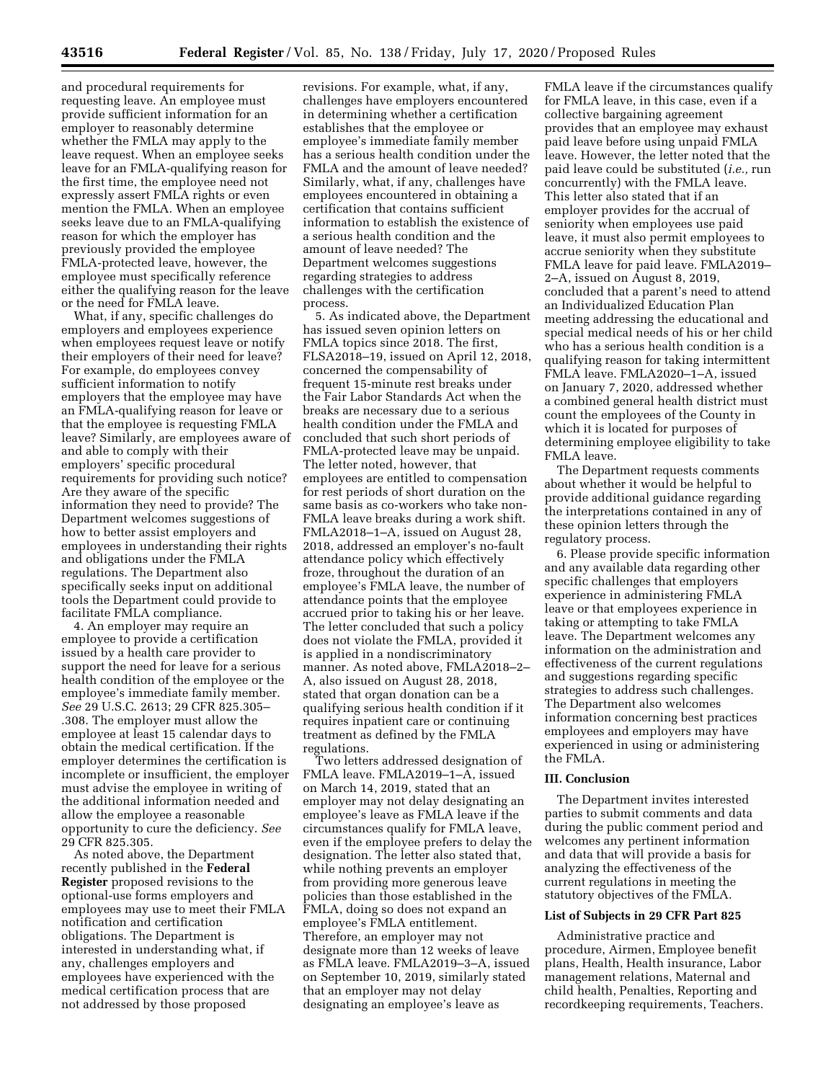and procedural requirements for requesting leave. An employee must provide sufficient information for an employer to reasonably determine whether the FMLA may apply to the leave request. When an employee seeks leave for an FMLA-qualifying reason for the first time, the employee need not expressly assert FMLA rights or even mention the FMLA. When an employee seeks leave due to an FMLA-qualifying reason for which the employer has previously provided the employee FMLA-protected leave, however, the employee must specifically reference either the qualifying reason for the leave or the need for FMLA leave.

What, if any, specific challenges do employers and employees experience when employees request leave or notify their employers of their need for leave? For example, do employees convey sufficient information to notify employers that the employee may have an FMLA-qualifying reason for leave or that the employee is requesting FMLA leave? Similarly, are employees aware of and able to comply with their employers' specific procedural requirements for providing such notice? Are they aware of the specific information they need to provide? The Department welcomes suggestions of how to better assist employers and employees in understanding their rights and obligations under the FMLA regulations. The Department also specifically seeks input on additional tools the Department could provide to facilitate FMLA compliance.

4. An employer may require an employee to provide a certification issued by a health care provider to support the need for leave for a serious health condition of the employee or the employee's immediate family member. *See* 29 U.S.C. 2613; 29 CFR 825.305– .308. The employer must allow the employee at least 15 calendar days to obtain the medical certification. If the employer determines the certification is incomplete or insufficient, the employer must advise the employee in writing of the additional information needed and allow the employee a reasonable opportunity to cure the deficiency. *See*  29 CFR 825.305.

As noted above, the Department recently published in the **Federal Register** proposed revisions to the optional-use forms employers and employees may use to meet their FMLA notification and certification obligations. The Department is interested in understanding what, if any, challenges employers and employees have experienced with the medical certification process that are not addressed by those proposed

revisions. For example, what, if any, challenges have employers encountered in determining whether a certification establishes that the employee or employee's immediate family member has a serious health condition under the FMLA and the amount of leave needed? Similarly, what, if any, challenges have employees encountered in obtaining a certification that contains sufficient information to establish the existence of a serious health condition and the amount of leave needed? The Department welcomes suggestions regarding strategies to address challenges with the certification process.

5. As indicated above, the Department has issued seven opinion letters on FMLA topics since 2018. The first, FLSA2018–19, issued on April 12, 2018, concerned the compensability of frequent 15-minute rest breaks under the Fair Labor Standards Act when the breaks are necessary due to a serious health condition under the FMLA and concluded that such short periods of FMLA-protected leave may be unpaid. The letter noted, however, that employees are entitled to compensation for rest periods of short duration on the same basis as co-workers who take non-FMLA leave breaks during a work shift. FMLA2018–1–A, issued on August 28, 2018, addressed an employer's no-fault attendance policy which effectively froze, throughout the duration of an employee's FMLA leave, the number of attendance points that the employee accrued prior to taking his or her leave. The letter concluded that such a policy does not violate the FMLA, provided it is applied in a nondiscriminatory manner. As noted above, FMLA2018–2– A, also issued on August 28, 2018, stated that organ donation can be a qualifying serious health condition if it requires inpatient care or continuing treatment as defined by the FMLA regulations.

Two letters addressed designation of FMLA leave. FMLA2019–1–A, issued on March 14, 2019, stated that an employer may not delay designating an employee's leave as FMLA leave if the circumstances qualify for FMLA leave, even if the employee prefers to delay the designation. The letter also stated that, while nothing prevents an employer from providing more generous leave policies than those established in the FMLA, doing so does not expand an employee's FMLA entitlement. Therefore, an employer may not designate more than 12 weeks of leave as FMLA leave. FMLA2019–3–A, issued on September 10, 2019, similarly stated that an employer may not delay designating an employee's leave as

FMLA leave if the circumstances qualify for FMLA leave, in this case, even if a collective bargaining agreement provides that an employee may exhaust paid leave before using unpaid FMLA leave. However, the letter noted that the paid leave could be substituted (*i.e.,* run concurrently) with the FMLA leave. This letter also stated that if an employer provides for the accrual of seniority when employees use paid leave, it must also permit employees to accrue seniority when they substitute FMLA leave for paid leave. FMLA2019– 2–A, issued on August 8, 2019, concluded that a parent's need to attend an Individualized Education Plan meeting addressing the educational and special medical needs of his or her child who has a serious health condition is a qualifying reason for taking intermittent FMLA leave. FMLA2020–1–A, issued on January 7, 2020, addressed whether a combined general health district must count the employees of the County in which it is located for purposes of determining employee eligibility to take FMLA leave.

The Department requests comments about whether it would be helpful to provide additional guidance regarding the interpretations contained in any of these opinion letters through the regulatory process.

6. Please provide specific information and any available data regarding other specific challenges that employers experience in administering FMLA leave or that employees experience in taking or attempting to take FMLA leave. The Department welcomes any information on the administration and effectiveness of the current regulations and suggestions regarding specific strategies to address such challenges. The Department also welcomes information concerning best practices employees and employers may have experienced in using or administering the FMLA.

#### **III. Conclusion**

The Department invites interested parties to submit comments and data during the public comment period and welcomes any pertinent information and data that will provide a basis for analyzing the effectiveness of the current regulations in meeting the statutory objectives of the FMLA.

## **List of Subjects in 29 CFR Part 825**

Administrative practice and procedure, Airmen, Employee benefit plans, Health, Health insurance, Labor management relations, Maternal and child health, Penalties, Reporting and recordkeeping requirements, Teachers.